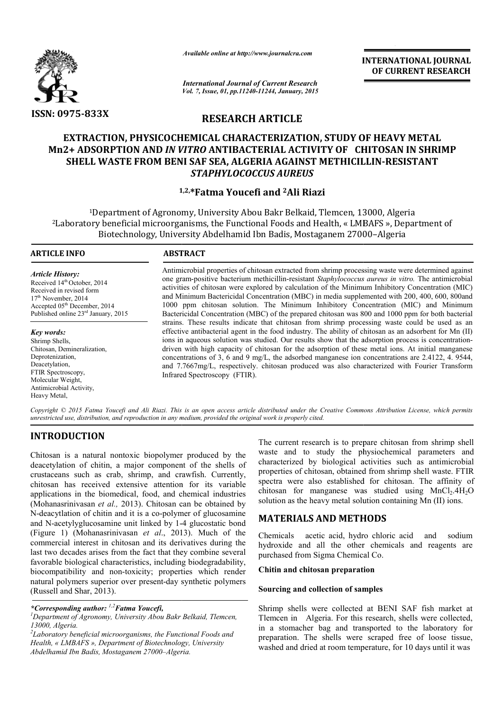

*Available online at http://www.journalcra.com*

**INTERNATIONAL INTERNATIONAL JOURNAL OF CURRENT RESEARCH** 

*International Journal of Current Research Vol. 7, Issue, 01, pp.11240-11244, January, 2015*

# **RESEARCH ARTICLE**

# **EXTRACTION, PHYSICOCHEMICAL CHARACTERIZATION, STUDY OF HEAVY METAL Mn2+ ADSORPTION AND** *IN VITRO*  **ANTIBACTERIAL ACTIVITY OF CHITOSAN IN SHRIMP SHELL WASTE FROM BENI SAF SEA, ALGERIA AGAINST METHICILLIN SAF SEA, ALGERIA AGAINST METHICILLIN-RESISTANT**  *STAPHYLOCOCCUS AUREUS*

# **1, 1,2, \*Fatma Youcefi and 2Ali Riazi**

1Department of Agronomy, University Abou Bakr Belkaid, Tlemcen, 13000, Algeria <sup>1</sup>Department of Agronomy, University Abou Bakr Belkaid, Tlemcen, 13000, Algeria<br>Laboratory beneficial microorganisms, the Functional Foods and Health, « LMBAFS », Department of Biotechnology, University Abdelhamid Ibn Badis, Mostaganem 27000-Algeria

1

#### **ARTICLE INFO ABSTRACT**

*Article History:* Received 14<sup>th</sup> October, 2014 Received in revised form 17<sup>th</sup> November, 2014 Accepted 05th December, 2014 Published online 23<sup>rd</sup> January, 2015

*Key words:* Shrimp Shells, Chitosan, Demineralization, Deprotenization, Deacetylation, FTIR Spectroscopy, Molecular Weight, Antimicrobial Activity, Heavy Metal,

Antimicrobial properties of chitosan extracted from shrimp processing waste were determined against one gram gram-positive bacterium methicillin-resistant *Staphylococcus aureus in vitro.* The antimicrobial activities of chitosan were explored by calculation of the Minimum Inhibitory Concentration (MIC) and Minimum Bactericidal Concentration (MBC) in media supplemented with 200, 400, 600, 800and 1000 ppm chitosan solution. The Minimum Inhibitory Concentration (MIC) and Minimum Bactericidal Concentration (MBC) of the prepared chitosan was 800 and 1000 ppm for both bacterial strains. These results indicate that chitosan from shrimp processing waste could be used as an effective antibacterial a agent in the food industry. The ability of chitosan as an adsorbent for Mn (II) ions in aqueous solution was studied. Our results show that the adsorption process is concentration driven with high capacity of chitosan for the adsorption of these metal ions. At initial manganese concentrations of 3, 6 and 9 mg/L, the adsorbed manganese ion concentrations are 2.4122, 4. 9544, concentrations of 3, 6 and 9 mg/L, the adsorbed manganese ion concentrations are 2.4122, 4. 9544, and 7.7667mg/L, respectively. chitosan produced was also characterized with Fourier Transform Infrared Spectroscopy (FTIR). activities of chitosan were explored by calculation of the Minimum Inhibitory Concentration (MIC) and Minimum Bactericidal Concentration (MBC) in media supplemented with 200, 400, 600, 800 and 1000 ppm chitosan solution. T INTERNATIONAL JOURNAL<br>
INTERNATIONAL OF CURRENT RESEARCH<br>
INTERNATION OF HEAVY METAL<br>
CONSERVENT RESEARCH<br>
ELEE<br>
ELEE<br>
ELEE<br>
ELEE<br>
ELEE<br>
ELEE<br>
ELEE<br>
ELEE<br>
ELEE<br>
ELEE<br>
ELEE<br>
ELEE<br>
ELEE<br>
ELEE<br>
FISH MST METHICILLIN-RESISTANT

Copyright © 2015 Fatma Youcefi and Ali Riazi. This is an open access article distributed under the Creative Commons Attribution License, which permits *unrestricted use, distribution, and reproduction in any medium, provided the original work is properly cited.*

# **INTRODUCTION**

Chitosan is a natural nontoxic biopolymer produced by the deacetylation of chitin, a major component of the shells of crustaceans such as crab, shrimp, and crawfish. Currently, chitosan has received extensive attention for its variable applications in the biomedical, food, and chemical industries (Mohanasrinivasan *et al.,* 2013). Chitosan can be obtained by N-deacytlation of chitin and it is a co-polymer of glucosamine and N-acetylyglucosamine unit linked by 1- (Figure 1) (Mohanasrinivasan *et al*., 2013 2013). Much of the commercial interest in chitosan and its derivatives during the last two decades arises from the fact that they combine several favorable biological characteristics, including biodegradability, biocompatibility and non-toxicity; properties which render natural polymers superior over present-day synthetic polymers (Russell and Shar, 2013). . Chitosan can be obtained by<br>is a co-polymer of glucosamine<br>linked by 1-4 glucostatic bond

*\*Corresponding author: 1,2Fatma Youcefi, <sup>1</sup>*

*Department of Agronomy, University Abou Bakr Belkaid, Tlemcen, 13000, Algeria.*

*2 Laboratory beneficial microorganisms, the Functional Foods and Health, « LMBAFS », Department of Biotechnology, University Abdelhamid Ibn Badis, Mostaganem 27000–Algeria.*

The current research is to prepare chitosan from shrimp shell<br>onent of the shells of waster and to study the physiochemical parameters and<br>d crawfish. Currently, properties of chitosan, obtained from shrimp shell waste. FT waste and to study the physiochemical parameters and characterized by biological activities such as properties of chitosan, obtained from shrimp shell waste. FTIR spectra were also established for chitosan. The affinity of spectra were also established for chitosan. The affinity of chitosan for manganese was studied using MnCl<sub>2</sub>.4H<sub>2</sub>O solution as the heavy metal solution containing Mn (II) ions. is to prepare chitosan from shrimp shell  $\lambda$  the physiochemical parameters and logical activities such as antimicrobial

# **MATERIALS AND METHODS METHODS**

Chemicals acetic acid, hydro chloric acid and sodium hydroxide and all the other chemicals and reagents are purchased from Sigma Chemical Co.

#### **Chitin and chitosan preparation**

# **Chitin and chitosan preparation<br>Sourcing and collection of samples**

Shrimp shells were collected at BENI SAF fish market at Tlemcen in Algeria. For this research, shells were collected, in a stomacher bag and transported to the laboratory for preparation. The shells were scraped free of loose tissue, washed and dried at room temperature, for 10 days until it was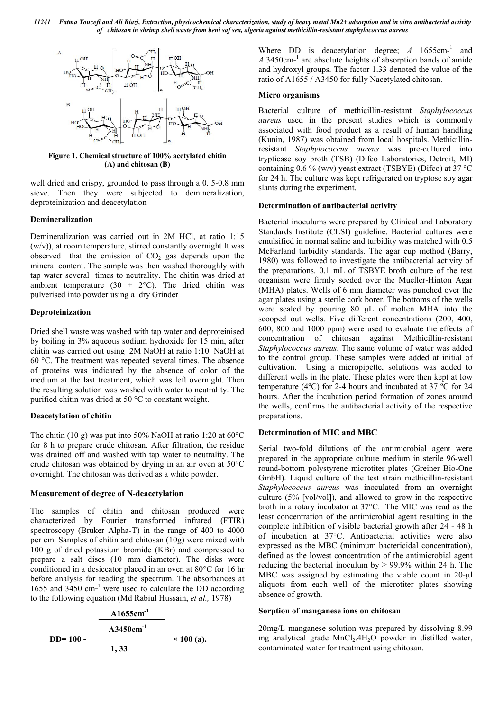

**Figure 1. Chemical structure of 100% acetylated chitin (A) and chitosan (B)**

well dried and crispy, grounded to pass through a 0. 5-0.8 mm sieve. Then they were subjected to demineralization, deproteinization and deacetylation

#### **Demineralization**

Demineralization was carried out in 2M HCl, at ratio 1:15  $(w/v)$ , at room temperature, stirred constantly overnight It was observed that the emission of  $CO<sub>2</sub>$  gas depends upon the mineral content. The sample was then washed thoroughly with tap water several times to neutrality. The chitin was dried at ambient temperature (30  $\pm$  2°C). The dried chitin was pulverised into powder using a dry Grinder

#### **Deproteinization**

Dried shell waste was washed with tap water and deproteinised by boiling in 3% aqueous sodium hydroxide for 15 min, after chitin was carried out using 2M NaOH at ratio 1:10 NaOH at 60 °C. The treatment was repeated several times. The absence of proteins was indicated by the absence of color of the medium at the last treatment, which was left overnight. Then the resulting solution was washed with water to neutrality. The purified chitin was dried at 50 °C to constant weight.

#### **Deacetylation of chitin**

The chitin (10 g) was put into 50% NaOH at ratio 1:20 at  $60^{\circ}$ C for 8 h to prepare crude chitosan. After filtration, the residue was drained off and washed with tap water to neutrality. The crude chitosan was obtained by drying in an air oven at 50°C overnight. The chitosan was derived as a white powder.

#### **Measurement of degree of N-deacetylation**

The samples of chitin and chitosan produced were characterized by Fourier transformed infrared (FTIR) spectroscopy (Bruker Alpha-T) in the range of 400 to 4000 per cm. Samples of chitin and chitosan (10g) were mixed with 100 g of dried potassium bromide (KBr) and compressed to prepare a salt discs (10 mm diameter). The disks were conditioned in a desiccator placed in an oven at 80°C for 16 hr before analysis for reading the spectrum. The absorbances at 1655 and  $3450 \text{ cm}^{-1}$  were used to calculate the DD according to the following equation (Md Rabiul Hussain, *et al.,* 1978)



Where DD is deacetylation degree; A 1655cm-<sup>1</sup> and *A* 3450cm-<sup>1</sup> are absolute heights of absorption bands of amide and hydroxyl groups. The factor 1.33 denoted the value of the ratio of A1655 / A3450 for fully Nacetylated chitosan.

#### **Micro organisms**

Bacterial culture of methicillin-resistant *Staphylococcus aureus* used in the present studies which is commonly associated with food product as a result of human handling (Kunin, 1987) was obtained from local hospitals. Methicillinresistant *Staphylococcus aureus* was pre-cultured into trypticase soy broth (TSB) (Difco Laboratories, Detroit, MI) containing  $0.6\%$  (w/v) yeast extract (TSBYE) (Difco) at 37 °C for 24 h. The culture was kept refrigerated on tryptose soy agar slants during the experiment.

#### **Determination of antibacterial activity**

Bacterial inoculums were prepared by Clinical and Laboratory Standards Institute (CLSI) guideline. Bacterial cultures were emulsified in normal saline and turbidity was matched with 0.5 McFarland turbidity standards. The agar cup method (Barry, 1980) was followed to investigate the antibacterial activity of the preparations. 0.1 mL of TSBYE broth culture of the test organism were firmly seeded over the Mueller-Hinton Agar (MHA) plates. Wells of 6 mm diameter was punched over the agar plates using a sterile cork borer. The bottoms of the wells were sealed by pouring 80 μL of molten MHA into the scooped out wells. Five different concentrations (200, 400, 600, 800 and 1000 ppm) were used to evaluate the effects of concentration of chitosan against Methicillin-resistant *Staphylococcus aureus*. The same volume of water was added to the control group. These samples were added at initial of cultivation. Using a micropipette, solutions was added to different wells in the plate. These plates were then kept at low temperature (4ºC) for 2-4 hours and incubated at 37 ºC for 24 hours. After the incubation period formation of zones around the wells, confirms the antibacterial activity of the respective preparations.

## **Determination of MIC and MBC**

Serial two*-*fold dilutions of the antimicrobial agent were prepared in the appropriate culture medium in sterile 96*-*well round*-*bottom polystyrene microtiter plates (Greiner Bio*-*One GmbH). Liquid culture of the test strain methicillin-resistant *Staphylococcus aureus* was inoculated from an overnight culture (5% [vol/vol]), and allowed to grow in the respective broth in a rotary incubator at 37°C. The MIC was read as the least concentration of the antimicrobial agent resulting in the complete inhibition of visible bacterial growth after 24 *-* 48 h of incubation at 37°C. Antibacterial activities were also expressed as the MBC (minimum bactericidal concentration), defined as the lowest concentration of the antimicrobial agent reducing the bacterial inoculum by  $\geq 99.9\%$  within 24 h. The MBC was assigned by estimating the viable count in 20*-*μl aliquots from each well of the microtiter plates showing absence of growth.

#### **Sorption of manganese ions on chitosan**

20mg/L manganese solution was prepared by dissolving 8.99 mg analytical grade MnCl<sub>2</sub>.4H<sub>2</sub>O powder in distilled water, contaminated water for treatment using chitosan.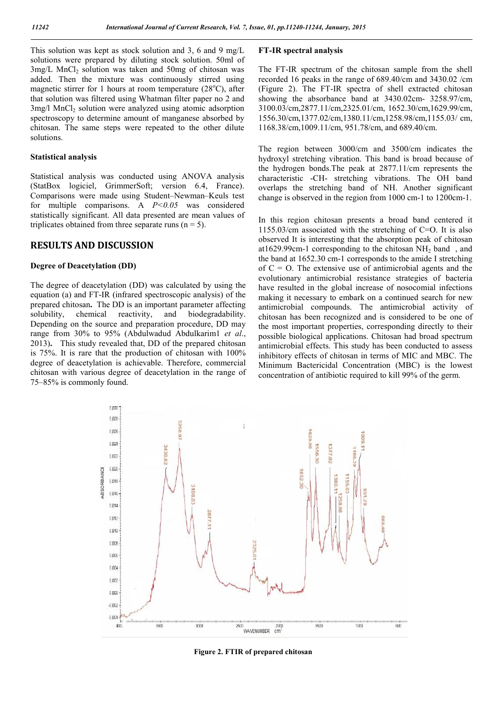This solution was kept as stock solution and 3, 6 and 9 mg/L solutions were prepared by diluting stock solution. 50ml of  $3$ mg/L MnCl<sub>2</sub> solution was taken and  $50$ mg of chitosan was added. Then the mixture was continuously stirred using magnetic stirrer for 1 hours at room temperature (28°C), after that solution was filtered using Whatman filter paper no 2 and 3mg/l MnCl<sub>2</sub> solution were analyzed using atomic adsorption spectroscopy to determine amount of manganese absorbed by chitosan. The same steps were repeated to the other dilute solutions.

#### **Statistical analysis**

Statistical analysis was conducted using ANOVA analysis (StatBox logiciel, GrimmerSoft; version 6.4, France). Comparisons were made using Student–Newman–Keuls test for multiple comparisons. A *P<0.05* was considered statistically significant. All data presented are mean values of triplicates obtained from three separate runs ( $n = 5$ ).

#### **RESULTS AND DISCUSSION**

#### **Degree of Deacetylation (DD)**

The degree of deacetylation (DD) was calculated by using the equation (a) and FT-IR (infrared spectroscopic analysis) of the prepared chitosan**.** The DD is an important parameter affecting solubility, chemical reactivity, and biodegradability. Depending on the source and preparation procedure, DD may range from 30% to 95% (Abdulwadud Abdulkarim1 *et al*., 2013)**.** This study revealed that, DD of the prepared chitosan is 75%. It is rare that the production of chitosan with 100% degree of deacetylation is achievable. Therefore, commercial chitosan with various degree of deacetylation in the range of 75–85% is commonly found.

#### **FT-IR spectral analysis**

The FT-IR spectrum of the chitosan sample from the shell recorded 16 peaks in the range of 689.40/cm and 3430.02 /cm (Figure 2). The FT-IR spectra of shell extracted chitosan showing the absorbance band at 3430.02cm- 3258.97/cm, 3100.03/cm,2877.11/cm,2325.01/cm, 1652.30/cm,1629.99/cm, 1556.30/cm,1377.02/cm,1380.11/cm,1258.98/cm,1155.03/ cm, 1168.38/cm,1009.11/cm, 951.78/cm, and 689.40/cm.

The region between 3000/cm and 3500/cm indicates the hydroxyl stretching vibration. This band is broad because of the hydrogen bonds.The peak at 2877.11/cm represents the characteristic -CH- stretching vibrations. The OH band overlaps the stretching band of NH. Another significant change is observed in the region from 1000 cm-1 to 1200cm-1.

In this region chitosan presents a broad band centered it 1155.03/cm associated with the stretching of C=O. It is also observed It is interesting that the absorption peak of chitosan at1629.99cm-1 corresponding to the chitosan  $NH<sub>2</sub>$  band, and the band at 1652.30 cm-1 corresponds to the amide I stretching of  $C = O$ . The extensive use of antimicrobial agents and the evolutionary antimicrobial resistance strategies of bacteria have resulted in the global increase of nosocomial infections making it necessary to embark on a continued search for new antimicrobial compounds. The antimicrobial activity of chitosan has been recognized and is considered to be one of the most important properties, corresponding directly to their possible biological applications. Chitosan had broad spectrum antimicrobial effects. This study has been conducted to assess inhibitory effects of chitosan in terms of MIC and MBC. The Minimum Bactericidal Concentration (MBC) is the lowest concentration of antibiotic required to kill 99% of the germ.



**Figure 2. FTIR of prepared chitosan**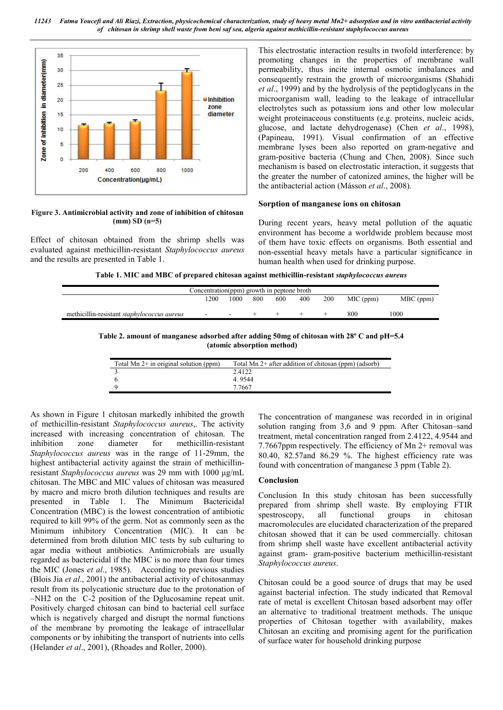*11243 Fatma Youcefi and Ali Riazi, Extraction, physicochemical characterization, study of heavy metal Mn2+ adsorption and in vitro antibacterial activity of chitosan in shrimp shell waste from beni saf sea, algeria against methicillin-resistant staphylococcus aureus*



#### **Figure 3. Antimicrobial activity and zone of inhibition of chitosan (mm) SD (n=5)**

Effect of chitosan obtained from the shrimp shells was evaluated against methicillin-resistant *Staphylococcus aureus* and the results are presented in Table 1.

This electrostatic interaction results in twofold interference: by promoting changes in the properties of membrane wall permeability, thus incite internal osmotic imbalances and consequently restrain the growth of microorganisms (Shahidi *et al*., 1999) and by the hydrolysis of the peptidoglycans in the microorganism wall, leading to the leakage of intracellular electrolytes such as potassium ions and other low molecular weight proteinaceous constituents (e.g. proteins, nucleic acids, glucose, and lactate dehydrogenase) (Chen *et al*., 1998), (Papineau, 1991). Visual confirmation of an effective membrane lyses been also reported on gram-negative and gram-positive bacteria (Chung and Chen, 2008). Since such mechanism is based on electrostatic interaction, it suggests that the greater the number of catonized amines, the higher will be the antibacterial action (Másson *et al*., 2008)*.*

#### **Sorption of manganese ions on chitosan**

During recent years, heavy metal pollution of the aquatic environment has become a worldwide problem because most of them have toxic effects on organisms. Both essential and non-essential heavy metals have a particular significance in human health when used for drinking purpose.

**Table 1. MIC and MBC of prepared chitosan against methicillin-resistant** *staphylococcus aureus*

| Concentration(ppm) growth in peptone broth         |                          |                          |     |     |     |     |           |           |
|----------------------------------------------------|--------------------------|--------------------------|-----|-----|-----|-----|-----------|-----------|
|                                                    | 1200                     | 1000                     | 800 | 600 | 400 | 200 | MIC (ppm) | MBC (ppm) |
| methicillin-resistant <i>staphylococcus aureus</i> | $\overline{\phantom{0}}$ | $\overline{\phantom{a}}$ |     |     |     |     | 800       | 1000      |

**Table 2. amount of manganese adsorbed after adding 50mg of chitosan with 28º C and pH=5.4 (atomic absorption method)**

| Total Mn $2+$ in original solution (ppm) | Total Mn 2+ after addition of chitosan (ppm) (adsorb) |
|------------------------------------------|-------------------------------------------------------|
|                                          | 2.4122                                                |
|                                          | 4 9544                                                |
|                                          | 7.7667                                                |

As shown in Figure 1 chitosan markedly inhibited the growth of methicillin-resistant *Staphylococcus aureus*,. The activity increased with increasing concentration of chitosan. The inhibition zone diameter for methicillin-resistant *Staphylococcus aureus* was in the range of 11-29mm, the highest antibacterial activity against the strain of methicillinresistant *Staphylococcus aureus* was 29 mm with 1000 μg/mL chitosan. The MBC and MIC values of chitosan was measured by macro and micro broth dilution techniques and results are presented in Table 1. The Minimum Bactericidal Concentration (MBC) is the lowest concentration of antibiotic required to kill 99% of the germ. Not as commonly seen as the Minimum inhibitory Concentration (MIC). It can be determined from broth dilution MIC tests by sub culturing to agar media without antibiotics. Antimicrobials are usually regarded as bactericidal if the MBC is no more than four times the MIC (Jones *et al*., 1985).According to previous studies (Blois Jia *et al*., 2001) the antibacterial activity of chitosanmay result from its polycationic structure due to the protonation of –NH2 on the C-2 position of the Dglucosamine repeat unit. Positively charged chitosan can bind to bacterial cell surface which is negatively charged and disrupt the normal functions of the membrane by promoting the leakage of intracellular components or by inhibiting the transport of nutrients into cells (Helander *et al*., 2001), (Rhoades and Roller, 2000).

The concentration of manganese was recorded in in original solution ranging from 3,6 and 9 ppm. After Chitosan–sand treatment, metal concentration ranged from 2.4122, 4.9544 and 7.7667ppm respectively. The efficiency of Mn 2+ removal was 80.40, 82.57and 86.29 %. The highest efficiency rate was found with concentration of manganese 3 ppm (Table 2).

#### **Conclusion**

Conclusion In this study chitosan has been successfully prepared from shrimp shell waste. By employing FTIR spestroscopy, all functional groups in chitosan macromolecules are elucidated characterization of the prepared chitosan showed that it can be used commercially. chitosan from shrimp shell waste have excellent antibacterial activity against gram- gram-positive bacterium methicillin-resistant *Staphylococcus aureus*.

Chitosan could be a good source of drugs that may be used against bacterial infection. The study indicated that Removal rate of metal is excellent Chitosan based adsorbent may offer an alternative to traditional treatment methods. The unique properties of Chitosan together with availability, makes Chitosan an exciting and promising agent for the purification of surface water for household drinking purpose